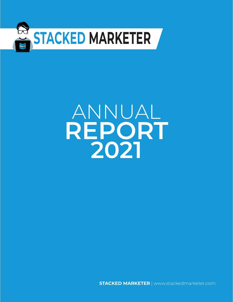

# ANNUAL **REPORT 2021**

**STACKED MARKETER** | www.stackedmarketer.com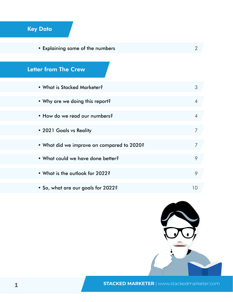# Key Data

• [Explaining some of the numbers](#page-2-0) **2** 2

## Letter from The Crew

| • What is Stacked Marketer?                | 3 |  |
|--------------------------------------------|---|--|
| • Why are we doing this report?            | 4 |  |
| • How do we read our numbers?              | 4 |  |
| • 2021 Goals vs Reality                    | 7 |  |
| • What did we improve on compared to 2020? | 7 |  |
| • What could we have done better?          | 9 |  |
| • What is the outlook for 2022?            | 9 |  |
| • So, what are our goals for 2022?         |   |  |



**STACKED MARKETER** | www.stackedmarketer.com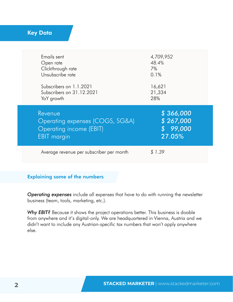### <span id="page-2-0"></span>Key Data

| Emails sent<br>Open rate<br>Clickthrough rate<br>Unsubscribe rate                                  | 4,709,952<br>48.4%<br>7%<br>0.1%           |
|----------------------------------------------------------------------------------------------------|--------------------------------------------|
| Subscribers on 1.1.2021                                                                            | 16,621                                     |
| Subscribers on 31.12.2021                                                                          | 21,334                                     |
| YoY growth                                                                                         | 28%                                        |
| Revenue<br>Operating expenses (COGS, SG&A)<br><b>Operating income (EBIT)</b><br><b>EBIT</b> margin | \$366,000<br>\$267,000<br>99,000<br>27.05% |
| Average revenue per subscriber per month                                                           | 1.39                                       |

#### Explaining some of the numbers

*Operating expenses* include all expenses that have to do with running the newsletter business (team, tools, marketing, etc.).

*Why EBIT?* Because it shows the project operations better. This business is doable from anywhere and it's digital-only. We are headquartered in Vienna, Austria and we didn't want to include any Austrian-specific tax numbers that won't apply anywhere else.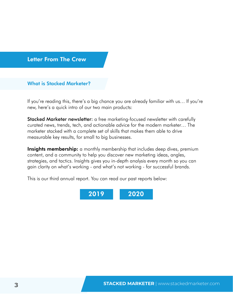#### <span id="page-3-0"></span>Letter From The Crew

#### What is Stacked Marketer?

If you're reading this, there's a big chance you are already familiar with us… If you're new, here's a quick intro of our two main products:

Stacked Marketer newsletter: a free marketing-focused newsletter with carefully curated news, trends, tech, and actionable advice for the modern marketer… The marketer stacked with a complete set of skills that makes them able to drive measurable key results, for small to big businesses.

**Insights membership:** a monthly membership that includes deep dives, premium content, and a community to help you discover new marketing ideas, angles, strategies, and tactics. Insights gives you in-depth analysis every month so you can gain clarity on what's working - and what's not working - for successful brands.

This is our third annual report. You can read our past reports below:

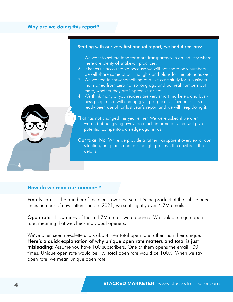#### <span id="page-4-0"></span>Why are we doing this report?

#### Starting with our very first annual report, we had 4 reasons:

- 1. We want to set the tone for more transparency in an industry where there are plenty of snake-oil practices.
- 2. It keeps us accountable because we will not share only numbers, we will share some of our thoughts and plans for the future as well.
- 3. We wanted to show something of a live case study for a business that started from zero not so long ago and put real numbers out there, whether they are impressive or not.
- 4. We think many of you readers are very smart marketers and business people that will end up giving us priceless feedback. It's already been useful for last year's report and we will keep doing it.

That has not changed this year either. We were asked if we aren't worried about giving away too much information, that will give potential competitors an edge against us.

Our take: No. While we provide a rather transparent overview of our situation, our plans, and our thought process, the devil is in the details.

#### How do we read our numbers?

**Emails sent** - The number of recipients over the year. It's the product of the subscribers times number of newsletters sent. In 2021, we sent slightly over 4.7M emails.

**Open rate** - How many of those 4.7M emails were opened. We look at unique open rate, meaning that we check individual openers.

We've often seen newsletters talk about their total open rate rather than their unique. Here's a quick explanation of why unique open rate matters and total is just misleading: Assume you have 100 subscribers. One of them opens the email 100 times. Unique open rate would be 1%, total open rate would be 100%. When we say open rate, we mean unique open rate.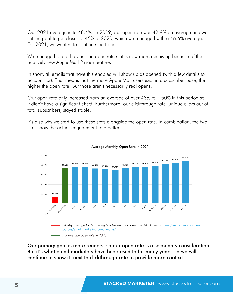Our 2021 average is to 48.4%. In 2019, our open rate was 42.9% on average and we set the goal to get closer to 45% to 2020, which we managed with a 46.6% average… For 2021, we wanted to continue the trend.

We managed to do that, but the open rate stat is now more deceiving because of the relatively new Apple Mail Privacy feature.

In short, all emails that have this enabled will show up as opened (with a few details to account for). That means that the more Apple Mail users exist in a subscriber base, the higher the open rate. But those aren't necessarily real opens.

Our open rate only increased from an average of over 48% to  $\sim$  50% in this period so it didn't have a significant effect. Furthermore, our clickthrough rate (unique clicks out of total subscribers) stayed stable.

It's also why we start to use these stats alongside the open rate. In combination, the two stats show the actual engagement rate better.





Our primary goal is more readers, so our open rate is a secondary consideration. But it's what email marketers have been used to for many years, so we will continue to show it, next to clickthrough rate to provide more context.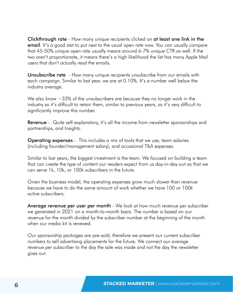Clickthrough rate - How many unique recipients clicked on at least one link in the **email**. It's a good stat to put next to the usual open rate now. You can usually compare that 45-50% unique open rate usually means around 6-7% unique CTR as well. If the two aren't proportionate, it means there's a high likelihood the list has many Apple Mail users that don't actually read the emails.

**Unsubscribe rate** - How many unique recipients unsubscribe from our emails with each campaign. Similar to last year, we are at 0.10%. It's a number well below the industry average.

We also know  $\sim$ 33% of the unsubscribers are because they no longer work in the industry so it's difficult to retain them, similar to previous years, so it's very difficult to significantly improve this number.

**Revenue** - Quite self-explanatory, it's all the income from newsletter sponsorships and partnerships, and Insights.

Operating expenses - This includes a mix of tools that we use, team salaries (including founder/management salary), and occasional T&A expenses.

Similar to last years, the biggest investment is the team. We focused on building a team that can create the type of content our readers expect from us day-in-day-out so that we can serve 1k, 10k, or 100k subscribers in the future.

Given the business model, the operating expenses grow much slower than revenue because we have to do the same amount of work whether we have 100 or 100k active subscribers.

Average revenue per user per month - We look at how much revenue per subscriber we generated in 2021 on a month-to-month basis. The number is based on our revenue for the month divided by the subscriber number at the beginning of the month when our media kit is renewed.

Our sponsorship packages are pre-sold, therefore we present our current subscriber numbers to sell advertising placements for the future. We connect our average revenue per subscriber to the day the sale was made and not the day the newsletter goes out.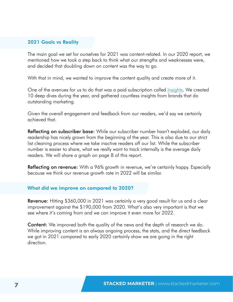#### <span id="page-7-0"></span>2021 Goals vs Reality

The main goal we set for ourselves for 2021 was content-related. In our 2020 report, we mentioned how we took a step back to think what our strengths and weaknesses were, and decided that doubling down on content was the way to go.

With that in mind, we wanted to improve the content quality and create more of it.

One of the avenues for us to do that was a paid subscription called *Insights*. We created 10 deep dives during the year, and gathered countless insights from brands that do outstanding marketing.

Given the overall engagement and feedback from our readers, we'd say we certainly achieved that.

Reflecting on subscriber base: While our subscriber number hasn't exploded, our daily readership has nicely grown from the beginning of the year. This is also due to our strict list cleaning process where we take inactive readers off our list. While the subscriber number is easier to share, what we really want to track internally is the average daily readers. We will share a graph on page 8 of this report.

Reflecting on revenue: With a 96% growth in revenue, we're certainly happy. Especially because we think our revenue growth rate in 2022 will be similar.

#### What did we improve on compared to 2020?

Revenue: Hitting \$360,000 in 2021 was certainly a very good result for us and a clear improvement against the \$190,000 from 2020. What's also very important is that we see where it's coming from and we can improve it even more for 2022.

Content: We improved both the quality of the news and the depth of research we do. While improving content is an always ongoing process, the stats, and the direct feedback we got in 2021 compared to early 2020 certainly show we are going in the right direction.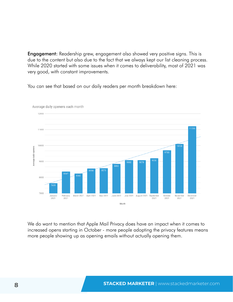**Engagement:** Readership grew, engagement also showed very positive signs. This is due to the content but also due to the fact that we always kept our list cleaning process. While 2020 started with some issues when it comes to deliverability, most of 2021 was very good, with constant improvements.

You can see that based on our daily readers per month breakdown here:



Average daily openers each month

We do want to mention that Apple Mail Privacy does have an impact when it comes to increased opens starting in October - more people adopting the privacy features means more people showing up as opening emails without actually opening them.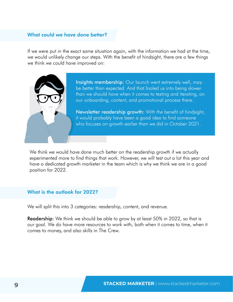#### <span id="page-9-0"></span>What could we have done better?

If we were put in the exact same situation again, with the information we had at the time, we would unlikely change our steps. With the benefit of hindsight, there are a few things we think we could have improved on:



Insights membership: Our launch went extremely well, maybe better than expected. And that fooled us into being slower than we should have when it comes to testing and iterating, on our onboarding, content, and promotional process there.

Newsletter readership growth: With the benefit of hindsight, it would probably have been a good idea to find someone who focuses on growth earlier than we did in October 2021.

We think we would have done much better on the readership growth if we actually experimented more to find things that work. However, we will test out a lot this year and have a dedicated growth marketer in the team which is why we think we are in a good position for 2022.

#### What is the outlook for 2022?

We will split this into 3 categories: readership, content, and revenue.

**Readership:** We think we should be able to grow by at least 50% in 2022, so that is our goal. We do have more resources to work with, both when it comes to time, when it comes to money, and also skills in The Crew.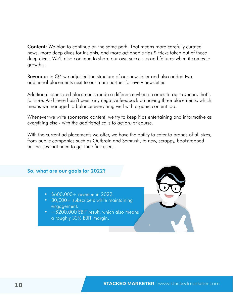<span id="page-10-0"></span>**Content:** We plan to continue on the same path. That means more carefully curated news, more deep dives for Insights, and more actionable tips & tricks taken out of those deep dives. We'll also continue to share our own successes and failures when it comes to growth…

**Revenue:** In Q4 we adjusted the structure of our newsletter and also added two additional placements next to our main partner for every newsletter.

Additional sponsored placements made a difference when it comes to our revenue, that's for sure. And there hasn't been any negative feedback on having three placements, which means we managed to balance everything well with organic content too.

Whenever we write sponsored content, we try to keep it as entertaining and informative as everything else - with the additional calls to action, of course.

With the current ad placements we offer, we have the ability to cater to brands of all sizes, from public companies such as Outbrain and Semrush, to new, scrappy, bootstrapped businesses that need to get their first users.

#### So, what are our goals for 2022?

- \$600,000+ revenue in 2022.
- 30,000+ subscribers while maintaining engagement.
- $\sim$  \$200,000 EBIT result, which also means a roughly 33% EBIT margin.

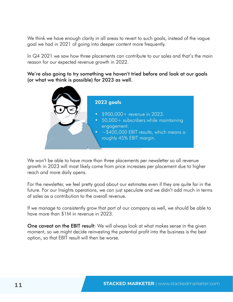We think we have enough clarity in all areas to revert to such goals, instead of the vague goal we had in 2021 of going into deeper content more frequently.

In Q4 2021 we saw how three placements can contribute to our sales and that's the main reason for our expected revenue growth in 2022.

We're also going to try something we haven't tried before and look at our goals (or what we think is possible) for 2023 as well.



We won't be able to have more than three placements per newsletter so all revenue growth in 2023 will most likely come from price increases per placement due to higher reach and more daily opens.

For the newsletter, we feel pretty good about our estimates even if they are quite far in the future. For our Insights operations, we can just speculate and we didn't add much in terms of sales as a contribution to the overall revenue.

If we manage to consistently grow that part of our company as well, we should be able to have more than \$1M in revenue in 2023.

One caveat on the EBIT result: We will always look at what makes sense in the given moment, so we might decide reinvesting the potential profit into the business is the best option, so that EBIT result will then be worse.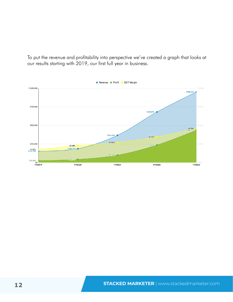To put the revenue and profitability into perspective we've created a graph that looks at our results starting with 2019, our first full year in business.